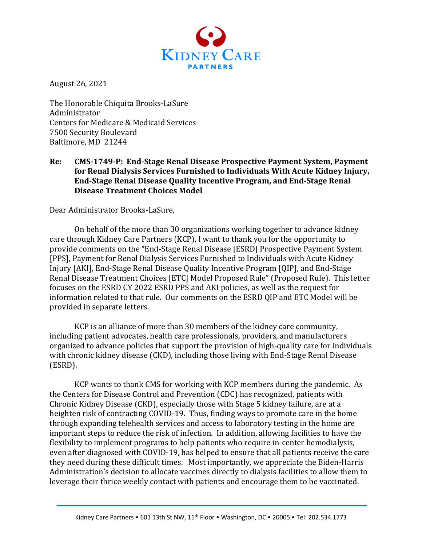

August 26, 2021

The Honorable Chiquita Brooks-LaSure Administrator Centers for Medicare & Medicaid Services 7500 Security Boulevard Baltimore, MD 21244

#### Re: CMS-1749-P: End-Stage Renal Disease Prospective Payment System, Payment for Renal Dialysis Services Furnished to Individuals With Acute Kidney Injury, **End-Stage Renal Disease Quality Incentive Program, and End-Stage Renal Disease Treatment Choices Model**

Dear Administrator Brooks-LaSure,

On behalf of the more than 30 organizations working together to advance kidney care through Kidney Care Partners (KCP), I want to thank you for the opportunity to provide comments on the "End-Stage Renal Disease [ESRD] Prospective Payment System [PPS], Payment for Renal Dialysis Services Furnished to Individuals with Acute Kidney Injury [AKI], End-Stage Renal Disease Quality Incentive Program [QIP], and End-Stage Renal Disease Treatment Choices [ETC] Model Proposed Rule" (Proposed Rule). This letter focuses on the ESRD CY 2022 ESRD PPS and AKI policies, as well as the request for information related to that rule. Our comments on the ESRD QIP and ETC Model will be provided in separate letters.

KCP is an alliance of more than 30 members of the kidney care community, including patient advocates, health care professionals, providers, and manufacturers organized to advance policies that support the provision of high-quality care for individuals with chronic kidney disease (CKD), including those living with End-Stage Renal Disease (ESRD).

KCP wants to thank CMS for working with KCP members during the pandemic. As the Centers for Disease Control and Prevention (CDC) has recognized, patients with Chronic Kidney Disease (CKD), especially those with Stage 5 kidney failure, are at a heighten risk of contracting COVID-19. Thus, finding ways to promote care in the home through expanding telehealth services and access to laboratory testing in the home are important steps to reduce the risk of infection. In addition, allowing facilities to have the flexibility to implement programs to help patients who require in-center hemodialysis, even after diagnosed with COVID-19, has helped to ensure that all patients receive the care they need during these difficult times. Most importantly, we appreciate the Biden-Harris Administration's decision to allocate vaccines directly to dialysis facilities to allow them to leverage their thrice weekly contact with patients and encourage them to be vaccinated.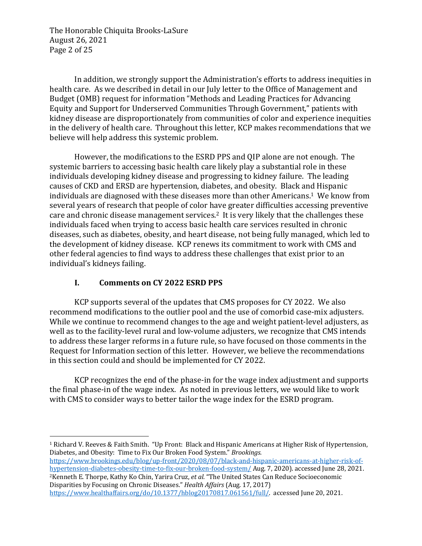The Honorable Chiquita Brooks-LaSure August 26, 2021 Page 2 of 25

In addition, we strongly support the Administration's efforts to address inequities in health care. As we described in detail in our July letter to the Office of Management and Budget (OMB) request for information "Methods and Leading Practices for Advancing Equity and Support for Underserved Communities Through Government," patients with kidney disease are disproportionately from communities of color and experience inequities in the delivery of health care. Throughout this letter, KCP makes recommendations that we believe will help address this systemic problem.

However, the modifications to the ESRD PPS and QIP alone are not enough. The systemic barriers to accessing basic health care likely play a substantial role in these individuals developing kidney disease and progressing to kidney failure. The leading causes of CKD and ERSD are hypertension, diabetes, and obesity. Black and Hispanic individuals are diagnosed with these diseases more than other Americans.<sup>1</sup> We know from several years of research that people of color have greater difficulties accessing preventive care and chronic disease management services.<sup>2</sup> It is very likely that the challenges these individuals faced when trying to access basic health care services resulted in chronic diseases, such as diabetes, obesity, and heart disease, not being fully managed, which led to the development of kidney disease. KCP renews its commitment to work with CMS and other federal agencies to find ways to address these challenges that exist prior to an individual's kidneys failing.

# **I. Comments on CY 2022 ESRD PPS**

KCP supports several of the updates that CMS proposes for CY 2022. We also recommend modifications to the outlier pool and the use of comorbid case-mix adjusters. While we continue to recommend changes to the age and weight patient-level adjusters, as well as to the facility-level rural and low-volume adjusters, we recognize that CMS intends to address these larger reforms in a future rule, so have focused on those comments in the Request for Information section of this letter. However, we believe the recommendations in this section could and should be implemented for CY 2022.

KCP recognizes the end of the phase-in for the wage index adjustment and supports the final phase-in of the wage index. As noted in previous letters, we would like to work with CMS to consider ways to better tailor the wage index for the ESRD program.

<sup>1</sup> Richard V. Reeves & Faith Smith. "Up Front: Black and Hispanic Americans at Higher Risk of Hypertension, Diabetes, and Obesity: Time to Fix Our Broken Food System." *Brookings.* 

https://www.brookings.edu/blog/up-front/2020/08/07/black-and-hispanic-americans-at-higher-risk-ofhypertension-diabetes-obesity-time-to-fix-our-broken-food-system/ Aug. 7, 2020). accessed June 28, 2021. <sup>2</sup>Kenneth E. Thorpe, Kathy Ko Chin, Yarira Cruz, *et al.* "The United States Can Reduce Socioeconomic Disparities by Focusing on Chronic Diseases." *Health Affairs* (Aug. 17, 2017)

https://www.healthaffairs.org/do/10.1377/hblog20170817.061561/full/. accessed June 20, 2021.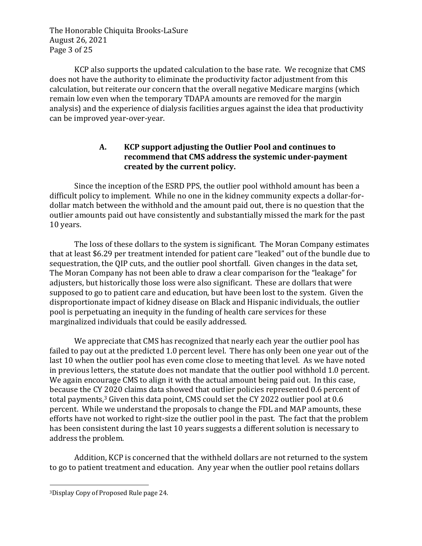The Honorable Chiquita Brooks-LaSure August 26, 2021 Page 3 of 25

KCP also supports the updated calculation to the base rate. We recognize that CMS does not have the authority to eliminate the productivity factor adjustment from this calculation, but reiterate our concern that the overall negative Medicare margins (which remain low even when the temporary TDAPA amounts are removed for the margin analysis) and the experience of dialysis facilities argues against the idea that productivity can be improved year-over-year.

### A. **KCP** support adjusting the Outlier Pool and continues to recommend that CMS address the systemic under-payment created by the current policy.

Since the inception of the ESRD PPS, the outlier pool withhold amount has been a difficult policy to implement. While no one in the kidney community expects a dollar-fordollar match between the withhold and the amount paid out, there is no question that the outlier amounts paid out have consistently and substantially missed the mark for the past 10 years.

The loss of these dollars to the system is significant. The Moran Company estimates that at least \$6.29 per treatment intended for patient care "leaked" out of the bundle due to sequestration, the QIP cuts, and the outlier pool shortfall. Given changes in the data set, The Moran Company has not been able to draw a clear comparison for the "leakage" for adjusters, but historically those loss were also significant. These are dollars that were supposed to go to patient care and education, but have been lost to the system. Given the disproportionate impact of kidney disease on Black and Hispanic individuals, the outlier pool is perpetuating an inequity in the funding of health care services for these marginalized individuals that could be easily addressed.

We appreciate that CMS has recognized that nearly each year the outlier pool has failed to pay out at the predicted 1.0 percent level. There has only been one year out of the last 10 when the outlier pool has even come close to meeting that level. As we have noted in previous letters, the statute does not mandate that the outlier pool withhold 1.0 percent. We again encourage CMS to align it with the actual amount being paid out. In this case, because the CY 2020 claims data showed that outlier policies represented 0.6 percent of total payments, $3$  Given this data point, CMS could set the CY 2022 outlier pool at 0.6 percent. While we understand the proposals to change the FDL and MAP amounts, these efforts have not worked to right-size the outlier pool in the past. The fact that the problem has been consistent during the last 10 years suggests a different solution is necessary to address the problem.

Addition, KCP is concerned that the withheld dollars are not returned to the system to go to patient treatment and education. Any year when the outlier pool retains dollars

<sup>&</sup>lt;sup>3</sup>Display Copy of Proposed Rule page 24.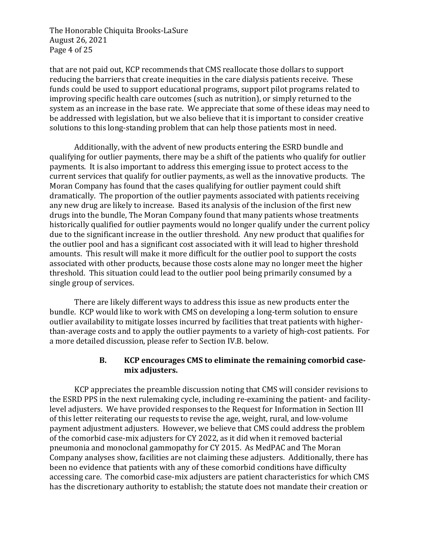The Honorable Chiquita Brooks-LaSure August 26, 2021 Page 4 of 25

that are not paid out, KCP recommends that CMS reallocate those dollars to support reducing the barriers that create inequities in the care dialysis patients receive. These funds could be used to support educational programs, support pilot programs related to improving specific health care outcomes (such as nutrition), or simply returned to the system as an increase in the base rate. We appreciate that some of these ideas may need to be addressed with legislation, but we also believe that it is important to consider creative solutions to this long-standing problem that can help those patients most in need.

Additionally, with the advent of new products entering the ESRD bundle and qualifying for outlier payments, there may be a shift of the patients who qualify for outlier payments. It is also important to address this emerging issue to protect access to the current services that qualify for outlier payments, as well as the innovative products. The Moran Company has found that the cases qualifying for outlier payment could shift dramatically. The proportion of the outlier payments associated with patients receiving any new drug are likely to increase. Based its analysis of the inclusion of the first new drugs into the bundle, The Moran Company found that many patients whose treatments historically qualified for outlier payments would no longer qualify under the current policy due to the significant increase in the outlier threshold. Any new product that qualifies for the outlier pool and has a significant cost associated with it will lead to higher threshold amounts. This result will make it more difficult for the outlier pool to support the costs associated with other products, because those costs alone may no longer meet the higher threshold. This situation could lead to the outlier pool being primarily consumed by a single group of services.

There are likely different ways to address this issue as new products enter the bundle. KCP would like to work with CMS on developing a long-term solution to ensure outlier availability to mitigate losses incurred by facilities that treat patients with higherthan-average costs and to apply the outlier payments to a variety of high-cost patients. For a more detailed discussion, please refer to Section IV.B. below.

#### B. KCP encourages CMS to eliminate the remaining comorbid case**mix adjusters.**

KCP appreciates the preamble discussion noting that CMS will consider revisions to the ESRD PPS in the next rulemaking cycle, including re-examining the patient- and facilitylevel adjusters. We have provided responses to the Request for Information in Section III of this letter reiterating our requests to revise the age, weight, rural, and low-volume payment adjustment adjusters. However, we believe that CMS could address the problem of the comorbid case-mix adjusters for CY 2022, as it did when it removed bacterial pneumonia and monoclonal gammopathy for CY 2015. As MedPAC and The Moran Company analyses show, facilities are not claiming these adjusters. Additionally, there has been no evidence that patients with any of these comorbid conditions have difficulty accessing care. The comorbid case-mix adjusters are patient characteristics for which CMS has the discretionary authority to establish; the statute does not mandate their creation or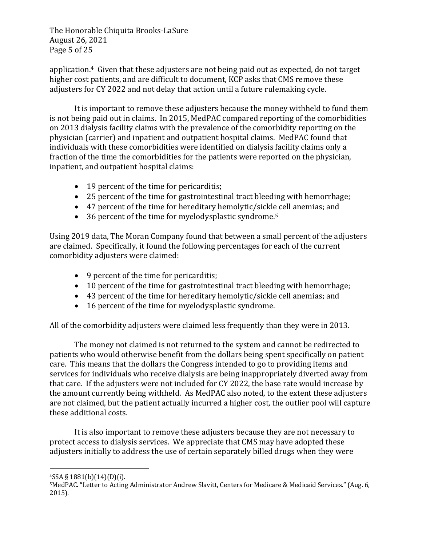The Honorable Chiquita Brooks-LaSure August 26, 2021 Page 5 of 25

application. $4$  Given that these adjusters are not being paid out as expected, do not target higher cost patients, and are difficult to document, KCP asks that CMS remove these adjusters for CY 2022 and not delay that action until a future rulemaking cycle.

It is important to remove these adjusters because the money withheld to fund them is not being paid out in claims. In 2015, MedPAC compared reporting of the comorbidities on 2013 dialysis facility claims with the prevalence of the comorbidity reporting on the physician (carrier) and inpatient and outpatient hospital claims. MedPAC found that individuals with these comorbidities were identified on dialysis facility claims only a fraction of the time the comorbidities for the patients were reported on the physician, inpatient, and outpatient hospital claims:

- 19 percent of the time for pericarditis;
- 25 percent of the time for gastrointestinal tract bleeding with hemorrhage;
- 47 percent of the time for hereditary hemolytic/sickle cell anemias; and
- 36 percent of the time for myelodysplastic syndrome.<sup>5</sup>

Using 2019 data, The Moran Company found that between a small percent of the adjusters are claimed. Specifically, it found the following percentages for each of the current comorbidity adjusters were claimed:

- 9 percent of the time for pericarditis;
- 10 percent of the time for gastrointestinal tract bleeding with hemorrhage;
- $\bullet$  43 percent of the time for hereditary hemolytic/sickle cell anemias; and
- 16 percent of the time for myelodysplastic syndrome.

All of the comorbidity adjusters were claimed less frequently than they were in 2013.

The money not claimed is not returned to the system and cannot be redirected to patients who would otherwise benefit from the dollars being spent specifically on patient care. This means that the dollars the Congress intended to go to providing items and services for individuals who receive dialysis are being inappropriately diverted away from that care. If the adjusters were not included for CY 2022, the base rate would increase by the amount currently being withheld. As MedPAC also noted, to the extent these adjusters are not claimed, but the patient actually incurred a higher cost, the outlier pool will capture these additional costs.

It is also important to remove these adjusters because they are not necessary to protect access to dialysis services. We appreciate that CMS may have adopted these adjusters initially to address the use of certain separately billed drugs when they were

 $4SSA \S 1881(b)(14)(D)(i).$ 

<sup>5</sup>MedPAC. "Letter to Acting Administrator Andrew Slavitt, Centers for Medicare & Medicaid Services." (Aug. 6, 2015).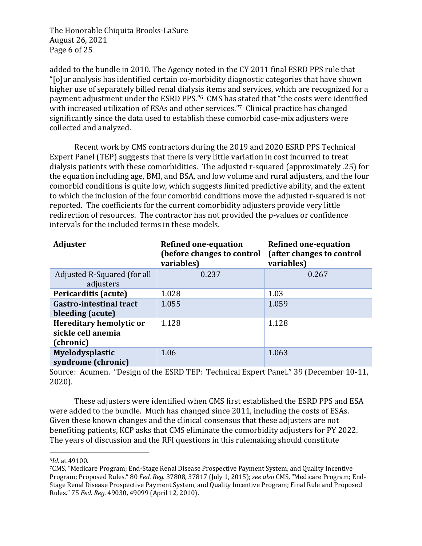The Honorable Chiquita Brooks-LaSure August 26, 2021 Page 6 of 25

added to the bundle in 2010. The Agency noted in the CY 2011 final ESRD PPS rule that "[o]ur analysis has identified certain co-morbidity diagnostic categories that have shown higher use of separately billed renal dialysis items and services, which are recognized for a payment adjustment under the ESRD PPS."<sup>6</sup> CMS has stated that "the costs were identified with increased utilization of ESAs and other services." $7$  Clinical practice has changed significantly since the data used to establish these comorbid case-mix adjusters were collected and analyzed.

Recent work by CMS contractors during the 2019 and 2020 ESRD PPS Technical Expert Panel (TEP) suggests that there is very little variation in cost incurred to treat dialysis patients with these comorbidities. The adjusted r-squared (approximately .25) for the equation including age, BMI, and BSA, and low volume and rural adjusters, and the four comorbid conditions is quite low, which suggests limited predictive ability, and the extent to which the inclusion of the four comorbid conditions move the adjusted r-squared is not reported. The coefficients for the current comorbidity adjusters provide very little redirection of resources. The contractor has not provided the p-values or confidence intervals for the included terms in these models.

| <b>Adjuster</b>                                            | <b>Refined one-equation</b><br>(before changes to control<br>variables) | <b>Refined one-equation</b><br>(after changes to control<br>variables) |
|------------------------------------------------------------|-------------------------------------------------------------------------|------------------------------------------------------------------------|
| Adjusted R-Squared (for all<br>adjusters                   | 0.237                                                                   | 0.267                                                                  |
| Pericarditis (acute)                                       | 1.028                                                                   | 1.03                                                                   |
| <b>Gastro-intestinal tract</b><br>bleeding (acute)         | 1.055                                                                   | 1.059                                                                  |
| Hereditary hemolytic or<br>sickle cell anemia<br>(chronic) | 1.128                                                                   | 1.128                                                                  |
| Myelodysplastic<br>syndrome (chronic)                      | 1.06                                                                    | 1.063                                                                  |

Source: Acumen. "Design of the ESRD TEP: Technical Expert Panel." 39 (December 10-11, 2020).

These adjusters were identified when CMS first established the ESRD PPS and ESA were added to the bundle. Much has changed since 2011, including the costs of ESAs. Given these known changes and the clinical consensus that these adjusters are not benefiting patients, KCP asks that CMS eliminate the comorbidity adjusters for PY 2022. The years of discussion and the RFI questions in this rulemaking should constitute

<sup>6</sup>*Id.* at 49100.

<sup>&</sup>lt;sup>7</sup>CMS, "Medicare Program; End-Stage Renal Disease Prospective Payment System, and Quality Incentive Program; Proposed Rules." 80 *Fed. Reg.* 37808, 37817 (July 1, 2015); see also CMS, "Medicare Program; End-Stage Renal Disease Prospective Payment System, and Quality Incentive Program; Final Rule and Proposed Rules." 75 Fed. Reg. 49030, 49099 (April 12, 2010).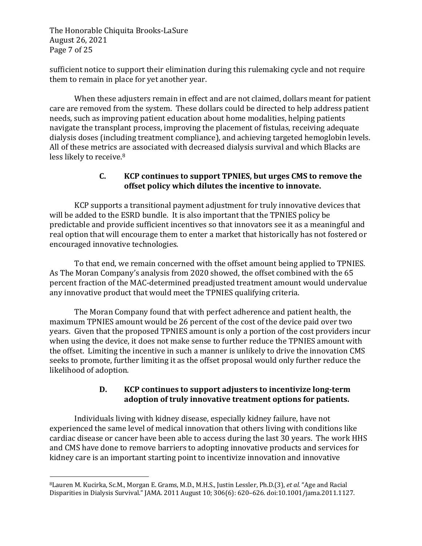The Honorable Chiquita Brooks-LaSure August 26, 2021 Page 7 of 25

sufficient notice to support their elimination during this rulemaking cycle and not require them to remain in place for yet another year.

When these adjusters remain in effect and are not claimed, dollars meant for patient care are removed from the system. These dollars could be directed to help address patient needs, such as improving patient education about home modalities, helping patients navigate the transplant process, improving the placement of fistulas, receiving adequate dialysis doses (including treatment compliance), and achieving targeted hemoglobin levels. All of these metrics are associated with decreased dialysis survival and which Blacks are less likely to receive.<sup>8</sup>

### **C. KCP** continues to support TPNIES, but urges CMS to remove the **offset policy which dilutes the incentive to innovate.**

KCP supports a transitional payment adjustment for truly innovative devices that will be added to the ESRD bundle. It is also important that the TPNIES policy be predictable and provide sufficient incentives so that innovators see it as a meaningful and real option that will encourage them to enter a market that historically has not fostered or encouraged innovative technologies.

To that end, we remain concerned with the offset amount being applied to TPNIES. As The Moran Company's analysis from 2020 showed, the offset combined with the 65 percent fraction of the MAC-determined preadjusted treatment amount would undervalue any innovative product that would meet the TPNIES qualifying criteria.

The Moran Company found that with perfect adherence and patient health, the maximum TPNIES amount would be 26 percent of the cost of the device paid over two years. Given that the proposed TPNIES amount is only a portion of the cost providers incur when using the device, it does not make sense to further reduce the TPNIES amount with the offset. Limiting the incentive in such a manner is unlikely to drive the innovation CMS seeks to promote, further limiting it as the offset proposal would only further reduce the likelihood of adoption.

# **D. KCP** continues to support adjusters to incentivize long-term adoption of truly innovative treatment options for patients.

Individuals living with kidney disease, especially kidney failure, have not experienced the same level of medical innovation that others living with conditions like cardiac disease or cancer have been able to access during the last 30 years. The work HHS and CMS have done to remove barriers to adopting innovative products and services for kidney care is an important starting point to incentivize innovation and innovative

<sup>&</sup>lt;sup>8</sup>Lauren M. Kucirka, Sc.M., Morgan E. Grams, M.D., M.H.S., Justin Lessler, Ph.D.(3), et al. "Age and Racial Disparities in Dialysis Survival." JAMA. 2011 August 10; 306(6): 620-626. doi:10.1001/jama.2011.1127.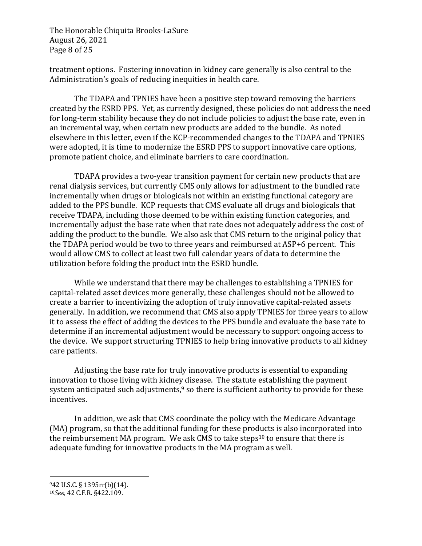The Honorable Chiquita Brooks-LaSure August 26, 2021 Page 8 of 25

treatment options. Fostering innovation in kidney care generally is also central to the Administration's goals of reducing inequities in health care.

The TDAPA and TPNIES have been a positive step toward removing the barriers created by the ESRD PPS. Yet, as currently designed, these policies do not address the need for long-term stability because they do not include policies to adjust the base rate, even in an incremental way, when certain new products are added to the bundle. As noted elsewhere in this letter, even if the KCP-recommended changes to the TDAPA and TPNIES were adopted, it is time to modernize the ESRD PPS to support innovative care options, promote patient choice, and eliminate barriers to care coordination.

TDAPA provides a two-year transition payment for certain new products that are renal dialysis services, but currently CMS only allows for adjustment to the bundled rate incrementally when drugs or biologicals not within an existing functional category are added to the PPS bundle. KCP requests that CMS evaluate all drugs and biologicals that receive TDAPA, including those deemed to be within existing function categories, and incrementally adjust the base rate when that rate does not adequately address the cost of adding the product to the bundle. We also ask that CMS return to the original policy that the TDAPA period would be two to three years and reimbursed at ASP+6 percent. This would allow CMS to collect at least two full calendar years of data to determine the utilization before folding the product into the ESRD bundle.

While we understand that there may be challenges to establishing a TPNIES for capital-related asset devices more generally, these challenges should not be allowed to create a barrier to incentivizing the adoption of truly innovative capital-related assets generally. In addition, we recommend that CMS also apply TPNIES for three years to allow it to assess the effect of adding the devices to the PPS bundle and evaluate the base rate to determine if an incremental adjustment would be necessary to support ongoing access to the device. We support structuring TPNIES to help bring innovative products to all kidney care patients.

Adjusting the base rate for truly innovative products is essential to expanding innovation to those living with kidney disease. The statute establishing the payment system anticipated such adjustments, $9$  so there is sufficient authority to provide for these incentives. 

In addition, we ask that CMS coordinate the policy with the Medicare Advantage (MA) program, so that the additional funding for these products is also incorporated into the reimbursement MA program. We ask CMS to take steps<sup>10</sup> to ensure that there is adequate funding for innovative products in the MA program as well.

 $942$  U.S.C. § 1395rr(b)(14).

<sup>10</sup>*See,* 42 C.F.R. §422.109.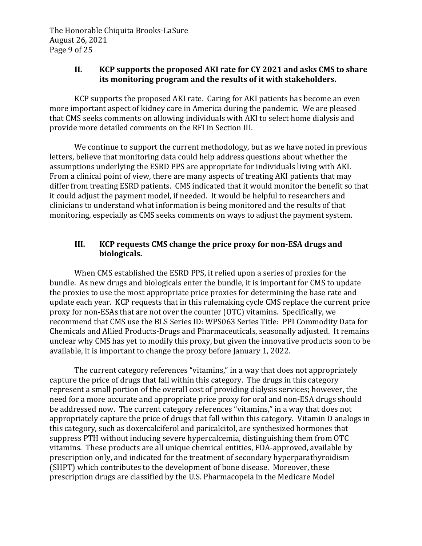The Honorable Chiquita Brooks-LaSure August 26, 2021 Page 9 of 25

### II. **KCP** supports the proposed AKI rate for CY 2021 and asks CMS to share **its monitoring program and the results of it with stakeholders.**

KCP supports the proposed AKI rate. Caring for AKI patients has become an even more important aspect of kidney care in America during the pandemic. We are pleased that CMS seeks comments on allowing individuals with AKI to select home dialysis and provide more detailed comments on the RFI in Section III.

We continue to support the current methodology, but as we have noted in previous letters, believe that monitoring data could help address questions about whether the assumptions underlying the ESRD PPS are appropriate for individuals living with AKI. From a clinical point of view, there are many aspects of treating AKI patients that may differ from treating ESRD patients. CMS indicated that it would monitor the benefit so that it could adjust the payment model, if needed. It would be helpful to researchers and clinicians to understand what information is being monitored and the results of that monitoring, especially as CMS seeks comments on ways to adjust the payment system.

### **III. KCP** requests CMS change the price proxy for non-ESA drugs and **biologicals.**

When CMS established the ESRD PPS, it relied upon a series of proxies for the bundle. As new drugs and biologicals enter the bundle, it is important for CMS to update the proxies to use the most appropriate price proxies for determining the base rate and update each year. KCP requests that in this rulemaking cycle CMS replace the current price proxy for non-ESAs that are not over the counter (OTC) vitamins. Specifically, we recommend that CMS use the BLS Series ID: WPS063 Series Title: PPI Commodity Data for Chemicals and Allied Products-Drugs and Pharmaceuticals, seasonally adjusted. It remains unclear why CMS has yet to modify this proxy, but given the innovative products soon to be available, it is important to change the proxy before January 1, 2022.

The current category references "vitamins," in a way that does not appropriately capture the price of drugs that fall within this category. The drugs in this category represent a small portion of the overall cost of providing dialysis services; however, the need for a more accurate and appropriate price proxy for oral and non-ESA drugs should be addressed now. The current category references "vitamins," in a way that does not appropriately capture the price of drugs that fall within this category. Vitamin D analogs in this category, such as doxercalciferol and paricalcitol, are synthesized hormones that suppress PTH without inducing severe hypercalcemia, distinguishing them from OTC vitamins. These products are all unique chemical entities, FDA-approved, available by prescription only, and indicated for the treatment of secondary hyperparathyroidism (SHPT) which contributes to the development of bone disease. Moreover, these prescription drugs are classified by the U.S. Pharmacopeia in the Medicare Model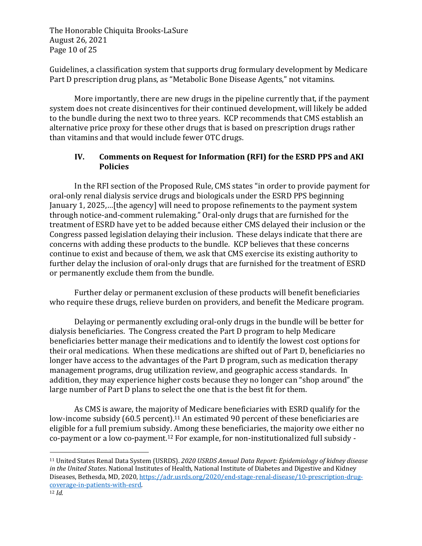The Honorable Chiquita Brooks-LaSure August 26, 2021 Page 10 of 25

Guidelines, a classification system that supports drug formulary development by Medicare Part D prescription drug plans, as "Metabolic Bone Disease Agents," not vitamins.

More importantly, there are new drugs in the pipeline currently that, if the payment system does not create disincentives for their continued development, will likely be added to the bundle during the next two to three years. KCP recommends that CMS establish an alternative price proxy for these other drugs that is based on prescription drugs rather than vitamins and that would include fewer OTC drugs.

### **IV.** Comments on Request for Information (RFI) for the ESRD PPS and AKI **Policies**

In the RFI section of the Proposed Rule, CMS states "in order to provide payment for oral-only renal dialysis service drugs and biologicals under the ESRD PPS beginning January 1, 2025,... [the agency] will need to propose refinements to the payment system through notice-and-comment rulemaking." Oral-only drugs that are furnished for the treatment of ESRD have yet to be added because either CMS delayed their inclusion or the Congress passed legislation delaying their inclusion. These delays indicate that there are concerns with adding these products to the bundle. KCP believes that these concerns continue to exist and because of them, we ask that CMS exercise its existing authority to further delay the inclusion of oral-only drugs that are furnished for the treatment of ESRD or permanently exclude them from the bundle.

Further delay or permanent exclusion of these products will benefit beneficiaries who require these drugs, relieve burden on providers, and benefit the Medicare program.

Delaying or permanently excluding oral-only drugs in the bundle will be better for dialysis beneficiaries. The Congress created the Part D program to help Medicare beneficiaries better manage their medications and to identify the lowest cost options for their oral medications. When these medications are shifted out of Part D, beneficiaries no longer have access to the advantages of the Part D program, such as medication therapy management programs, drug utilization review, and geographic access standards. In addition, they may experience higher costs because they no longer can "shop around" the large number of Part D plans to select the one that is the best fit for them.

As CMS is aware, the majority of Medicare beneficiaries with ESRD qualify for the low-income subsidy  $(60.5$  percent).<sup>11</sup> An estimated 90 percent of these beneficiaries are eligible for a full premium subsidy. Among these beneficiaries, the majority owe either no co-payment or a low co-payment.<sup>12</sup> For example, for non-institutionalized full subsidy -

<sup>&</sup>lt;sup>11</sup> United States Renal Data System (USRDS). 2020 USRDS Annual Data Report: Epidemiology of kidney disease *in the United States*. National Institutes of Health, National Institute of Diabetes and Digestive and Kidney Diseases, Bethesda, MD, 2020, https://adr.usrds.org/2020/end-stage-renal-disease/10-prescription-drugcoverage-in-patients-with-esrd.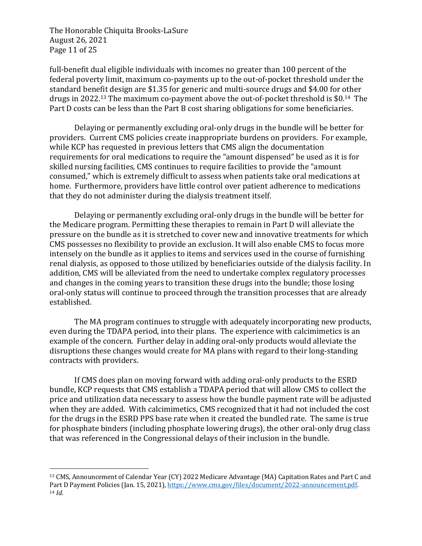The Honorable Chiquita Brooks-LaSure August 26, 2021 Page 11 of 25

full-benefit dual eligible individuals with incomes no greater than 100 percent of the federal poverty limit, maximum co-payments up to the out-of-pocket threshold under the standard benefit design are \$1.35 for generic and multi-source drugs and \$4.00 for other drugs in 2022.<sup>13</sup> The maximum co-payment above the out-of-pocket threshold is \$0.<sup>14</sup> The Part D costs can be less than the Part B cost sharing obligations for some beneficiaries.

Delaying or permanently excluding oral-only drugs in the bundle will be better for providers. Current CMS policies create inappropriate burdens on providers. For example, while KCP has requested in previous letters that CMS align the documentation requirements for oral medications to require the "amount dispensed" be used as it is for skilled nursing facilities, CMS continues to require facilities to provide the "amount consumed," which is extremely difficult to assess when patients take oral medications at home. Furthermore, providers have little control over patient adherence to medications that they do not administer during the dialysis treatment itself.

Delaying or permanently excluding oral-only drugs in the bundle will be better for the Medicare program. Permitting these therapies to remain in Part D will alleviate the pressure on the bundle as it is stretched to cover new and innovative treatments for which CMS possesses no flexibility to provide an exclusion. It will also enable CMS to focus more intensely on the bundle as it applies to items and services used in the course of furnishing renal dialysis, as opposed to those utilized by beneficiaries outside of the dialysis facility. In addition, CMS will be alleviated from the need to undertake complex regulatory processes and changes in the coming years to transition these drugs into the bundle; those losing oral-only status will continue to proceed through the transition processes that are already established. 

The MA program continues to struggle with adequately incorporating new products, even during the TDAPA period, into their plans. The experience with calcimimetics is an example of the concern. Further delay in adding oral-only products would alleviate the disruptions these changes would create for MA plans with regard to their long-standing contracts with providers.

If CMS does plan on moving forward with adding oral-only products to the ESRD bundle, KCP requests that CMS establish a TDAPA period that will allow CMS to collect the price and utilization data necessary to assess how the bundle payment rate will be adjusted when they are added. With calcimimetics, CMS recognized that it had not included the cost for the drugs in the ESRD PPS base rate when it created the bundled rate. The same is true for phosphate binders (including phosphate lowering drugs), the other oral-only drug class that was referenced in the Congressional delays of their inclusion in the bundle.

<sup>&</sup>lt;sup>13</sup> CMS, Announcement of Calendar Year (CY) 2022 Medicare Advantage (MA) Capitation Rates and Part C and Part D Payment Policies (Jan. 15, 2021), https://www.cms.gov/files/document/2022-announcement.pdf. <sup>14</sup> *Id.*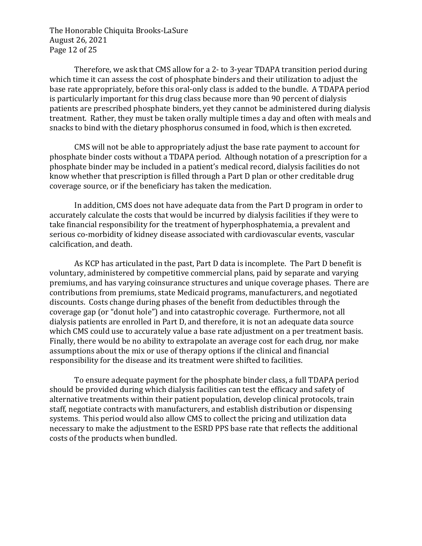The Honorable Chiquita Brooks-LaSure August 26, 2021 Page 12 of 25

Therefore, we ask that CMS allow for a 2- to 3-year TDAPA transition period during which time it can assess the cost of phosphate binders and their utilization to adjust the base rate appropriately, before this oral-only class is added to the bundle. A TDAPA period is particularly important for this drug class because more than 90 percent of dialysis patients are prescribed phosphate binders, yet they cannot be administered during dialysis treatment. Rather, they must be taken orally multiple times a day and often with meals and snacks to bind with the dietary phosphorus consumed in food, which is then excreted.

CMS will not be able to appropriately adjust the base rate payment to account for phosphate binder costs without a TDAPA period. Although notation of a prescription for a phosphate binder may be included in a patient's medical record, dialysis facilities do not know whether that prescription is filled through a Part D plan or other creditable drug coverage source, or if the beneficiary has taken the medication.

In addition, CMS does not have adequate data from the Part D program in order to accurately calculate the costs that would be incurred by dialysis facilities if they were to take financial responsibility for the treatment of hyperphosphatemia, a prevalent and serious co-morbidity of kidney disease associated with cardiovascular events, vascular calcification, and death.

As KCP has articulated in the past, Part D data is incomplete. The Part D benefit is voluntary, administered by competitive commercial plans, paid by separate and varying premiums, and has varying coinsurance structures and unique coverage phases. There are contributions from premiums, state Medicaid programs, manufacturers, and negotiated discounts. Costs change during phases of the benefit from deductibles through the coverage gap (or "donut hole") and into catastrophic coverage. Furthermore, not all dialysis patients are enrolled in Part D, and therefore, it is not an adequate data source which CMS could use to accurately value a base rate adjustment on a per treatment basis. Finally, there would be no ability to extrapolate an average cost for each drug, nor make assumptions about the mix or use of therapy options if the clinical and financial responsibility for the disease and its treatment were shifted to facilities.

To ensure adequate payment for the phosphate binder class, a full TDAPA period should be provided during which dialysis facilities can test the efficacy and safety of alternative treatments within their patient population, develop clinical protocols, train staff, negotiate contracts with manufacturers, and establish distribution or dispensing systems. This period would also allow CMS to collect the pricing and utilization data necessary to make the adjustment to the ESRD PPS base rate that reflects the additional costs of the products when bundled.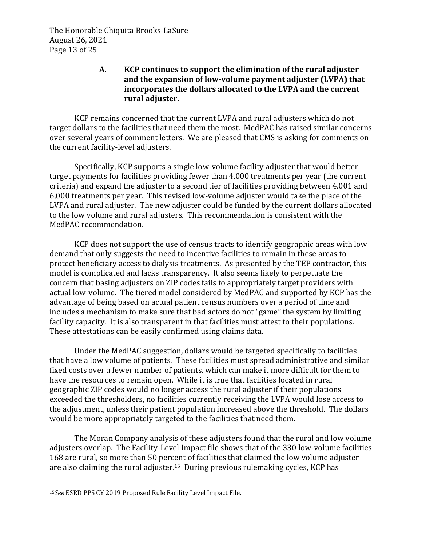The Honorable Chiquita Brooks-LaSure August 26, 2021 Page 13 of 25

#### A. **KCP** continues to support the elimination of the rural adjuster and the expansion of low-volume payment adjuster (LVPA) that incorporates the dollars allocated to the LVPA and the current **rural adjuster.**

KCP remains concerned that the current LVPA and rural adjusters which do not target dollars to the facilities that need them the most. MedPAC has raised similar concerns over several years of comment letters. We are pleased that CMS is asking for comments on the current facility-level adjusters.

Specifically, KCP supports a single low-volume facility adjuster that would better target payments for facilities providing fewer than 4,000 treatments per year (the current criteria) and expand the adjuster to a second tier of facilities providing between 4,001 and 6,000 treatments per year. This revised low-volume adjuster would take the place of the LVPA and rural adjuster. The new adjuster could be funded by the current dollars allocated to the low volume and rural adjusters. This recommendation is consistent with the MedPAC recommendation.

KCP does not support the use of census tracts to identify geographic areas with low demand that only suggests the need to incentive facilities to remain in these areas to protect beneficiary access to dialysis treatments. As presented by the TEP contractor, this model is complicated and lacks transparency. It also seems likely to perpetuate the concern that basing adjusters on ZIP codes fails to appropriately target providers with actual low-volume. The tiered model considered by MedPAC and supported by KCP has the advantage of being based on actual patient census numbers over a period of time and includes a mechanism to make sure that bad actors do not "game" the system by limiting facility capacity. It is also transparent in that facilities must attest to their populations. These attestations can be easily confirmed using claims data.

Under the MedPAC suggestion, dollars would be targeted specifically to facilities that have a low volume of patients. These facilities must spread administrative and similar fixed costs over a fewer number of patients, which can make it more difficult for them to have the resources to remain open. While it is true that facilities located in rural geographic ZIP codes would no longer access the rural adjuster if their populations exceeded the thresholders, no facilities currently receiving the LVPA would lose access to the adjustment, unless their patient population increased above the threshold. The dollars would be more appropriately targeted to the facilities that need them.

The Moran Company analysis of these adjusters found that the rural and low volume adjusters overlap. The Facility-Level Impact file shows that of the 330 low-volume facilities 168 are rural, so more than 50 percent of facilities that claimed the low volume adjuster are also claiming the rural adjuster.<sup>15</sup> During previous rulemaking cycles, KCP has

<sup>&</sup>lt;sup>15</sup>See ESRD PPS CY 2019 Proposed Rule Facility Level Impact File.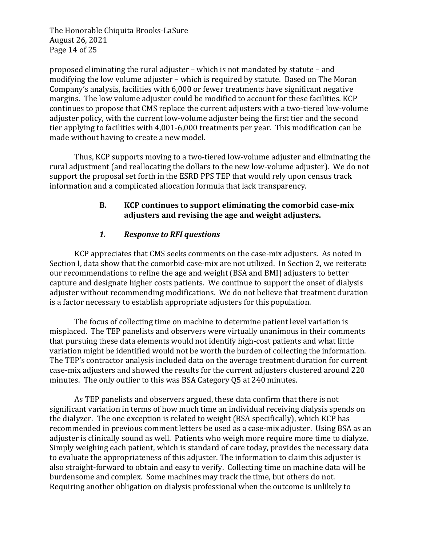The Honorable Chiquita Brooks-LaSure August 26, 2021 Page 14 of 25

proposed eliminating the rural adjuster – which is not mandated by statute – and modifying the low volume adjuster – which is required by statute. Based on The Moran Company's analysis, facilities with 6,000 or fewer treatments have significant negative margins. The low volume adjuster could be modified to account for these facilities. KCP continues to propose that CMS replace the current adjusters with a two-tiered low-volume adjuster policy, with the current low-volume adjuster being the first tier and the second tier applying to facilities with 4,001-6,000 treatments per year. This modification can be made without having to create a new model.

Thus, KCP supports moving to a two-tiered low-volume adjuster and eliminating the rural adjustment (and reallocating the dollars to the new low-volume adjuster). We do not support the proposal set forth in the ESRD PPS TEP that would rely upon census track information and a complicated allocation formula that lack transparency.

### **B. KCP** continues to support eliminating the comorbid case-mix adjusters and revising the age and weight adjusters.

# 1. **Response to RFI questions**

KCP appreciates that CMS seeks comments on the case-mix adjusters. As noted in Section I, data show that the comorbid case-mix are not utilized. In Section 2, we reiterate our recommendations to refine the age and weight (BSA and BMI) adjusters to better capture and designate higher costs patients. We continue to support the onset of dialysis adjuster without recommending modifications. We do not believe that treatment duration is a factor necessary to establish appropriate adjusters for this population.

The focus of collecting time on machine to determine patient level variation is misplaced. The TEP panelists and observers were virtually unanimous in their comments that pursuing these data elements would not identify high-cost patients and what little variation might be identified would not be worth the burden of collecting the information. The TEP's contractor analysis included data on the average treatment duration for current case-mix adjusters and showed the results for the current adjusters clustered around 220 minutes. The only outlier to this was BSA Category Q5 at 240 minutes.

As TEP panelists and observers argued, these data confirm that there is not significant variation in terms of how much time an individual receiving dialysis spends on the dialyzer. The one exception is related to weight (BSA specifically), which KCP has recommended in previous comment letters be used as a case-mix adjuster. Using BSA as an adjuster is clinically sound as well. Patients who weigh more require more time to dialyze. Simply weighing each patient, which is standard of care today, provides the necessary data to evaluate the appropriateness of this adjuster. The information to claim this adjuster is also straight-forward to obtain and easy to verify. Collecting time on machine data will be burdensome and complex. Some machines may track the time, but others do not. Requiring another obligation on dialysis professional when the outcome is unlikely to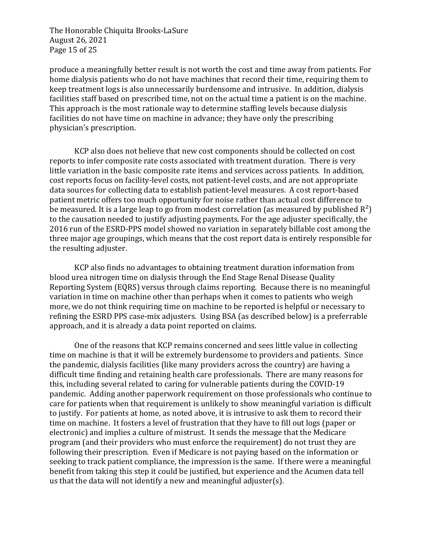The Honorable Chiquita Brooks-LaSure August 26, 2021 Page 15 of 25

produce a meaningfully better result is not worth the cost and time away from patients. For home dialysis patients who do not have machines that record their time, requiring them to keep treatment logs is also unnecessarily burdensome and intrusive. In addition, dialysis facilities staff based on prescribed time, not on the actual time a patient is on the machine. This approach is the most rationale way to determine staffing levels because dialysis facilities do not have time on machine in advance; they have only the prescribing physician's prescription.

KCP also does not believe that new cost components should be collected on cost reports to infer composite rate costs associated with treatment duration. There is very little variation in the basic composite rate items and services across patients. In addition, cost reports focus on facility-level costs, not patient-level costs, and are not appropriate data sources for collecting data to establish patient-level measures. A cost report-based patient metric offers too much opportunity for noise rather than actual cost difference to be measured. It is a large leap to go from modest correlation (as measured by published  $R^2$ ) to the causation needed to justify adjusting payments. For the age adjuster specifically, the 2016 run of the ESRD-PPS model showed no variation in separately billable cost among the three major age groupings, which means that the cost report data is entirely responsible for the resulting adjuster.

KCP also finds no advantages to obtaining treatment duration information from blood urea nitrogen time on dialysis through the End Stage Renal Disease Quality Reporting System (EQRS) versus through claims reporting. Because there is no meaningful variation in time on machine other than perhaps when it comes to patients who weigh more, we do not think requiring time on machine to be reported is helpful or necessary to refining the ESRD PPS case-mix adjusters. Using BSA (as described below) is a preferrable approach, and it is already a data point reported on claims.

One of the reasons that KCP remains concerned and sees little value in collecting time on machine is that it will be extremely burdensome to providers and patients. Since the pandemic, dialysis facilities (like many providers across the country) are having a difficult time finding and retaining health care professionals. There are many reasons for this, including several related to caring for vulnerable patients during the COVID-19 pandemic. Adding another paperwork requirement on those professionals who continue to care for patients when that requirement is unlikely to show meaningful variation is difficult to justify. For patients at home, as noted above, it is intrusive to ask them to record their time on machine. It fosters a level of frustration that they have to fill out logs (paper or electronic) and implies a culture of mistrust. It sends the message that the Medicare program (and their providers who must enforce the requirement) do not trust they are following their prescription. Even if Medicare is not paying based on the information or seeking to track patient compliance, the impression is the same. If there were a meaningful benefit from taking this step it could be justified, but experience and the Acumen data tell us that the data will not identify a new and meaningful adjuster(s).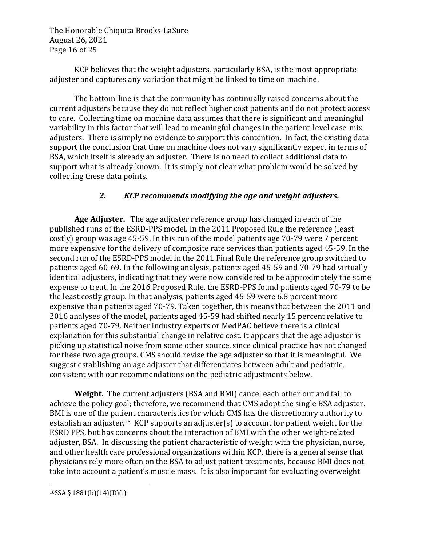The Honorable Chiquita Brooks-LaSure August 26, 2021 Page 16 of 25

KCP believes that the weight adjusters, particularly BSA, is the most appropriate adjuster and captures any variation that might be linked to time on machine.

The bottom-line is that the community has continually raised concerns about the current adjusters because they do not reflect higher cost patients and do not protect access to care. Collecting time on machine data assumes that there is significant and meaningful variability in this factor that will lead to meaningful changes in the patient-level case-mix adjusters. There is simply no evidence to support this contention. In fact, the existing data support the conclusion that time on machine does not vary significantly expect in terms of BSA, which itself is already an adjuster. There is no need to collect additional data to support what is already known. It is simply not clear what problem would be solved by collecting these data points.

### 2. *KCP* recommends modifying the age and weight adjusters.

**Age Adjuster.** The age adjuster reference group has changed in each of the published runs of the ESRD-PPS model. In the 2011 Proposed Rule the reference (least costly) group was age 45-59. In this run of the model patients age 70-79 were 7 percent more expensive for the delivery of composite rate services than patients aged 45-59. In the second run of the ESRD-PPS model in the 2011 Final Rule the reference group switched to patients aged 60-69. In the following analysis, patients aged 45-59 and 70-79 had virtually identical adjusters, indicating that they were now considered to be approximately the same expense to treat. In the 2016 Proposed Rule, the ESRD-PPS found patients aged 70-79 to be the least costly group. In that analysis, patients aged  $45-59$  were  $6.8$  percent more expensive than patients aged 70-79. Taken together, this means that between the 2011 and 2016 analyses of the model, patients aged 45-59 had shifted nearly 15 percent relative to patients aged 70-79. Neither industry experts or MedPAC believe there is a clinical explanation for this substantial change in relative cost. It appears that the age adjuster is picking up statistical noise from some other source, since clinical practice has not changed for these two age groups. CMS should revise the age adjuster so that it is meaningful. We suggest establishing an age adjuster that differentiates between adult and pediatric, consistent with our recommendations on the pediatric adjustments below.

**Weight.** The current adjusters (BSA and BMI) cancel each other out and fail to achieve the policy goal; therefore, we recommend that CMS adopt the single BSA adjuster. BMI is one of the patient characteristics for which CMS has the discretionary authority to establish an adjuster.<sup>16</sup> KCP supports an adjuster(s) to account for patient weight for the ESRD PPS, but has concerns about the interaction of BMI with the other weight-related adjuster, BSA. In discussing the patient characteristic of weight with the physician, nurse, and other health care professional organizations within KCP, there is a general sense that physicians rely more often on the BSA to adjust patient treatments, because BMI does not take into account a patient's muscle mass. It is also important for evaluating overweight

<sup>16</sup>SSA § 1881(b)(14)(D)(i).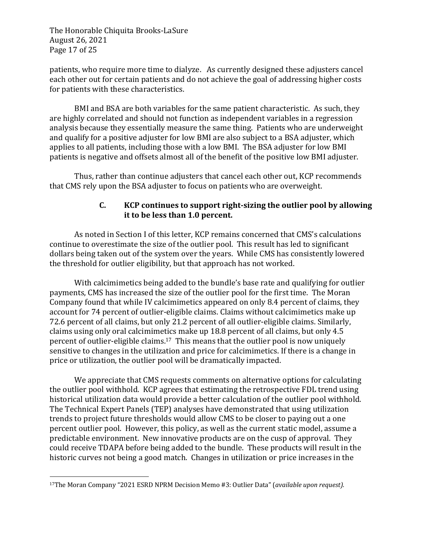The Honorable Chiquita Brooks-LaSure August 26, 2021 Page 17 of 25

patients, who require more time to dialyze. As currently designed these adjusters cancel each other out for certain patients and do not achieve the goal of addressing higher costs for patients with these characteristics.

BMI and BSA are both variables for the same patient characteristic. As such, they are highly correlated and should not function as independent variables in a regression analysis because they essentially measure the same thing. Patients who are underweight and qualify for a positive adjuster for low BMI are also subject to a BSA adjuster, which applies to all patients, including those with a low BMI. The BSA adjuster for low BMI patients is negative and offsets almost all of the benefit of the positive low BMI adjuster.

Thus, rather than continue adjusters that cancel each other out, KCP recommends that CMS rely upon the BSA adjuster to focus on patients who are overweight.

### **C. KCP** continues to support right-sizing the outlier pool by allowing it to be less than 1.0 percent.

As noted in Section I of this letter, KCP remains concerned that CMS's calculations continue to overestimate the size of the outlier pool. This result has led to significant dollars being taken out of the system over the years. While CMS has consistently lowered the threshold for outlier eligibility, but that approach has not worked.

With calcimimetics being added to the bundle's base rate and qualifying for outlier payments, CMS has increased the size of the outlier pool for the first time. The Moran Company found that while IV calcimimetics appeared on only 8.4 percent of claims, they account for 74 percent of outlier-eligible claims. Claims without calcimimetics make up 72.6 percent of all claims, but only 21.2 percent of all outlier-eligible claims. Similarly, claims using only oral calcimimetics make up 18.8 percent of all claims, but only 4.5 percent of outlier-eligible claims.<sup>17</sup> This means that the outlier pool is now uniquely sensitive to changes in the utilization and price for calcimimetics. If there is a change in price or utilization, the outlier pool will be dramatically impacted.

We appreciate that CMS requests comments on alternative options for calculating the outlier pool withhold. KCP agrees that estimating the retrospective FDL trend using historical utilization data would provide a better calculation of the outlier pool withhold. The Technical Expert Panels (TEP) analyses have demonstrated that using utilization trends to project future thresholds would allow CMS to be closer to paying out a one percent outlier pool. However, this policy, as well as the current static model, assume a predictable environment. New innovative products are on the cusp of approval. They could receive TDAPA before being added to the bundle. These products will result in the historic curves not being a good match. Changes in utilization or price increases in the

<sup>&</sup>lt;sup>17</sup>The Moran Company "2021 ESRD NPRM Decision Memo #3: Outlier Data" (*available upon request*).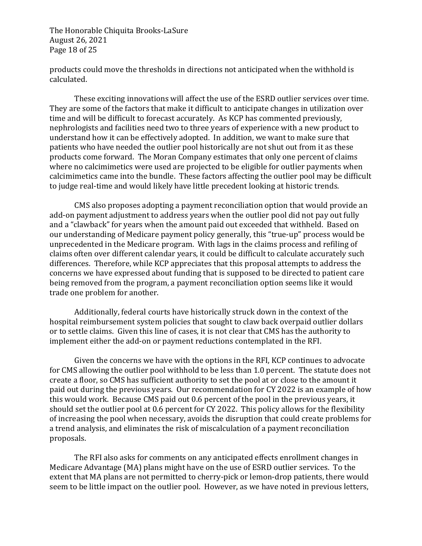The Honorable Chiquita Brooks-LaSure August 26, 2021 Page 18 of 25

products could move the thresholds in directions not anticipated when the withhold is calculated. 

These exciting innovations will affect the use of the ESRD outlier services over time. They are some of the factors that make it difficult to anticipate changes in utilization over time and will be difficult to forecast accurately. As KCP has commented previously, nephrologists and facilities need two to three years of experience with a new product to understand how it can be effectively adopted. In addition, we want to make sure that patients who have needed the outlier pool historically are not shut out from it as these products come forward. The Moran Company estimates that only one percent of claims where no calcimimetics were used are projected to be eligible for outlier payments when calcimimetics came into the bundle. These factors affecting the outlier pool may be difficult to judge real-time and would likely have little precedent looking at historic trends.

CMS also proposes adopting a payment reconciliation option that would provide an add-on payment adjustment to address years when the outlier pool did not pay out fully and a "clawback" for years when the amount paid out exceeded that withheld. Based on our understanding of Medicare payment policy generally, this "true-up" process would be unprecedented in the Medicare program. With lags in the claims process and refiling of claims often over different calendar years, it could be difficult to calculate accurately such differences. Therefore, while KCP appreciates that this proposal attempts to address the concerns we have expressed about funding that is supposed to be directed to patient care being removed from the program, a payment reconciliation option seems like it would trade one problem for another.

Additionally, federal courts have historically struck down in the context of the hospital reimbursement system policies that sought to claw back overpaid outlier dollars or to settle claims. Given this line of cases, it is not clear that CMS has the authority to implement either the add-on or payment reductions contemplated in the RFI.

Given the concerns we have with the options in the RFI, KCP continues to advocate for CMS allowing the outlier pool withhold to be less than 1.0 percent. The statute does not create a floor, so CMS has sufficient authority to set the pool at or close to the amount it paid out during the previous years. Our recommendation for CY 2022 is an example of how this would work. Because CMS paid out 0.6 percent of the pool in the previous years, it should set the outlier pool at 0.6 percent for CY 2022. This policy allows for the flexibility of increasing the pool when necessary, avoids the disruption that could create problems for a trend analysis, and eliminates the risk of miscalculation of a payment reconciliation proposals. 

The RFI also asks for comments on any anticipated effects enrollment changes in Medicare Advantage  $(MA)$  plans might have on the use of ESRD outlier services. To the extent that MA plans are not permitted to cherry-pick or lemon-drop patients, there would seem to be little impact on the outlier pool. However, as we have noted in previous letters,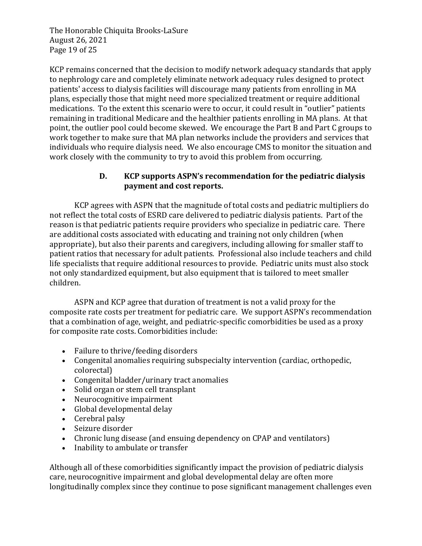The Honorable Chiquita Brooks-LaSure August 26, 2021 Page 19 of 25

KCP remains concerned that the decision to modify network adequacy standards that apply to nephrology care and completely eliminate network adequacy rules designed to protect patients' access to dialysis facilities will discourage many patients from enrolling in MA plans, especially those that might need more specialized treatment or require additional medications. To the extent this scenario were to occur, it could result in "outlier" patients remaining in traditional Medicare and the healthier patients enrolling in MA plans. At that point, the outlier pool could become skewed. We encourage the Part B and Part C groups to work together to make sure that MA plan networks include the providers and services that individuals who require dialysis need. We also encourage CMS to monitor the situation and work closely with the community to try to avoid this problem from occurring.

### **D. KCP** supports ASPN's recommendation for the pediatric dialysis **payment and cost reports.**

KCP agrees with ASPN that the magnitude of total costs and pediatric multipliers do not reflect the total costs of ESRD care delivered to pediatric dialysis patients. Part of the reason is that pediatric patients require providers who specialize in pediatric care. There are additional costs associated with educating and training not only children (when appropriate), but also their parents and caregivers, including allowing for smaller staff to patient ratios that necessary for adult patients. Professional also include teachers and child life specialists that require additional resources to provide. Pediatric units must also stock not only standardized equipment, but also equipment that is tailored to meet smaller children. 

ASPN and KCP agree that duration of treatment is not a valid proxy for the composite rate costs per treatment for pediatric care. We support ASPN's recommendation that a combination of age, weight, and pediatric-specific comorbidities be used as a proxy for composite rate costs. Comorbidities include:

- Failure to thrive/feeding disorders
- Congenital anomalies requiring subspecialty intervention (cardiac, orthopedic, colorectal)
- Congenital bladder/urinary tract anomalies
- Solid organ or stem cell transplant
- Neurocognitive impairment
- Global developmental delay
- $\bullet$  Cerebral palsy
- Seizure disorder
- Chronic lung disease (and ensuing dependency on CPAP and ventilators)
- Inability to ambulate or transfer

Although all of these comorbidities significantly impact the provision of pediatric dialysis care, neurocognitive impairment and global developmental delay are often more longitudinally complex since they continue to pose significant management challenges even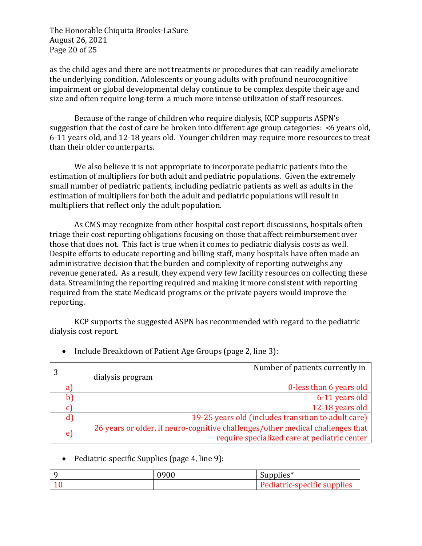The Honorable Chiquita Brooks-LaSure August 26, 2021 Page 20 of 25

as the child ages and there are not treatments or procedures that can readily ameliorate the underlying condition. Adolescents or young adults with profound neurocognitive impairment or global developmental delay continue to be complex despite their age and size and often require long-term a much more intense utilization of staff resources.

Because of the range of children who require dialysis, KCP supports ASPN's suggestion that the cost of care be broken into different age group categories:  $\leq 6$  years old, 6-11 years old, and 12-18 years old. Younger children may require more resources to treat than their older counterparts.

We also believe it is not appropriate to incorporate pediatric patients into the estimation of multipliers for both adult and pediatric populations. Given the extremely small number of pediatric patients, including pediatric patients as well as adults in the estimation of multipliers for both the adult and pediatric populations will result in multipliers that reflect only the adult population.

As CMS may recognize from other hospital cost report discussions, hospitals often triage their cost reporting obligations focusing on those that affect reimbursement over those that does not. This fact is true when it comes to pediatric dialysis costs as well. Despite efforts to educate reporting and billing staff, many hospitals have often made an administrative decision that the burden and complexity of reporting outweighs any revenue generated. As a result, they expend very few facility resources on collecting these data. Streamlining the reporting required and making it more consistent with reporting required from the state Medicaid programs or the private payers would improve the reporting.

KCP supports the suggested ASPN has recommended with regard to the pediatric dialysis cost report.

|            | Number of patients currently in                                                |
|------------|--------------------------------------------------------------------------------|
|            | dialysis program                                                               |
| a l        | 0-less than 6 years old                                                        |
| b)         | 6-11 years old                                                                 |
|            | 12-18 years old                                                                |
| d          | 19-25 years old (includes transition to adult care)                            |
| $\epsilon$ | 26 years or older, if neuro-cognitive challenges/other medical challenges that |
|            | require specialized care at pediatric center                                   |

• Include Breakdown of Patient Age Groups (page 2, line 3):

#### • Pediatric-specific Supplies (page 4, line 9):

| ıч | $\mathsf{supplies}^*$       |
|----|-----------------------------|
|    | Pediatric-specific supplies |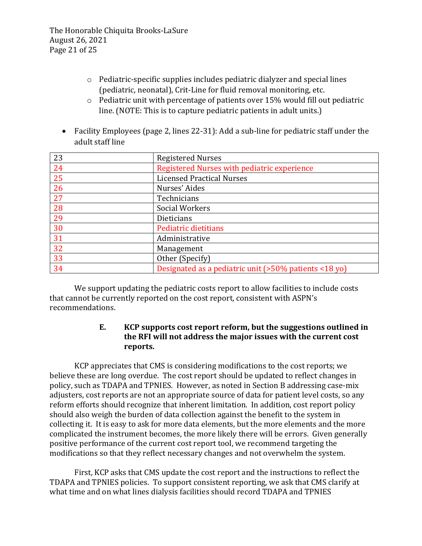- $\circ$  Pediatric-specific supplies includes pediatric dialyzer and special lines (pediatric, neonatal), Crit-Line for fluid removal monitoring, etc.
- $\circ$  Pediatric unit with percentage of patients over 15% would fill out pediatric line. (NOTE: This is to capture pediatric patients in adult units.)
- Facility Employees (page 2, lines  $22-31$ ): Add a sub-line for pediatric staff under the adult staff line

| 23 | <b>Registered Nurses</b>                              |
|----|-------------------------------------------------------|
| 24 | Registered Nurses with pediatric experience           |
| 25 | <b>Licensed Practical Nurses</b>                      |
| 26 | Nurses' Aides                                         |
| 27 | Technicians                                           |
| 28 | <b>Social Workers</b>                                 |
| 29 | Dieticians                                            |
| 30 | Pediatric dietitians                                  |
| 31 | Administrative                                        |
| 32 | Management                                            |
| 33 | Other (Specify)                                       |
| 34 | Designated as a pediatric unit (>50% patients <18 yo) |

We support updating the pediatric costs report to allow facilities to include costs that cannot be currently reported on the cost report, consistent with ASPN's recommendations.

#### **E. KCP** supports cost report reform, but the suggestions outlined in the RFI will not address the major issues with the current cost **reports.**

KCP appreciates that CMS is considering modifications to the cost reports; we believe these are long overdue. The cost report should be updated to reflect changes in policy, such as TDAPA and TPNIES. However, as noted in Section B addressing case-mix adjusters, cost reports are not an appropriate source of data for patient level costs, so any reform efforts should recognize that inherent limitation. In addition, cost report policy should also weigh the burden of data collection against the benefit to the system in collecting it. It is easy to ask for more data elements, but the more elements and the more complicated the instrument becomes, the more likely there will be errors. Given generally positive performance of the current cost report tool, we recommend targeting the modifications so that they reflect necessary changes and not overwhelm the system.

First, KCP asks that CMS update the cost report and the instructions to reflect the TDAPA and TPNIES policies. To support consistent reporting, we ask that CMS clarify at what time and on what lines dialysis facilities should record TDAPA and TPNIES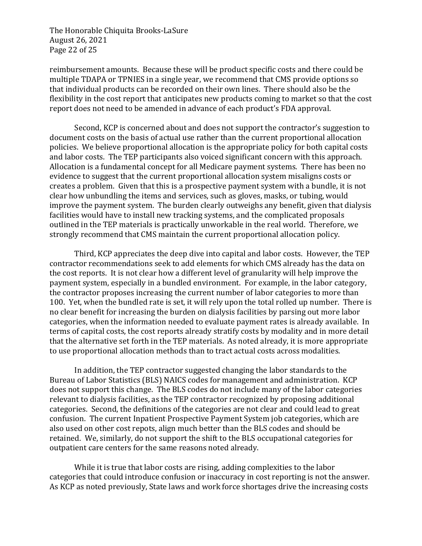The Honorable Chiquita Brooks-LaSure August 26, 2021 Page 22 of 25

reimbursement amounts. Because these will be product specific costs and there could be multiple TDAPA or TPNIES in a single year, we recommend that CMS provide options so that individual products can be recorded on their own lines. There should also be the flexibility in the cost report that anticipates new products coming to market so that the cost report does not need to be amended in advance of each product's FDA approval.

Second, KCP is concerned about and does not support the contractor's suggestion to document costs on the basis of actual use rather than the current proportional allocation policies. We believe proportional allocation is the appropriate policy for both capital costs and labor costs. The TEP participants also voiced significant concern with this approach. Allocation is a fundamental concept for all Medicare payment systems. There has been no evidence to suggest that the current proportional allocation system misaligns costs or creates a problem. Given that this is a prospective payment system with a bundle, it is not clear how unbundling the items and services, such as gloves, masks, or tubing, would improve the payment system. The burden clearly outweighs any benefit, given that dialysis facilities would have to install new tracking systems, and the complicated proposals outlined in the TEP materials is practically unworkable in the real world. Therefore, we strongly recommend that CMS maintain the current proportional allocation policy.

Third, KCP appreciates the deep dive into capital and labor costs. However, the TEP contractor recommendations seek to add elements for which CMS already has the data on the cost reports. It is not clear how a different level of granularity will help improve the payment system, especially in a bundled environment. For example, in the labor category, the contractor proposes increasing the current number of labor categories to more than 100. Yet, when the bundled rate is set, it will rely upon the total rolled up number. There is no clear benefit for increasing the burden on dialysis facilities by parsing out more labor categories, when the information needed to evaluate payment rates is already available. In terms of capital costs, the cost reports already stratify costs by modality and in more detail that the alternative set forth in the TEP materials. As noted already, it is more appropriate to use proportional allocation methods than to tract actual costs across modalities.

In addition, the TEP contractor suggested changing the labor standards to the Bureau of Labor Statistics (BLS) NAICS codes for management and administration. KCP does not support this change. The BLS codes do not include many of the labor categories relevant to dialysis facilities, as the TEP contractor recognized by proposing additional categories. Second, the definitions of the categories are not clear and could lead to great confusion. The current Inpatient Prospective Payment System job categories, which are also used on other cost repots, align much better than the BLS codes and should be retained. We, similarly, do not support the shift to the BLS occupational categories for outpatient care centers for the same reasons noted already.

While it is true that labor costs are rising, adding complexities to the labor categories that could introduce confusion or inaccuracy in cost reporting is not the answer. As KCP as noted previously, State laws and work force shortages drive the increasing costs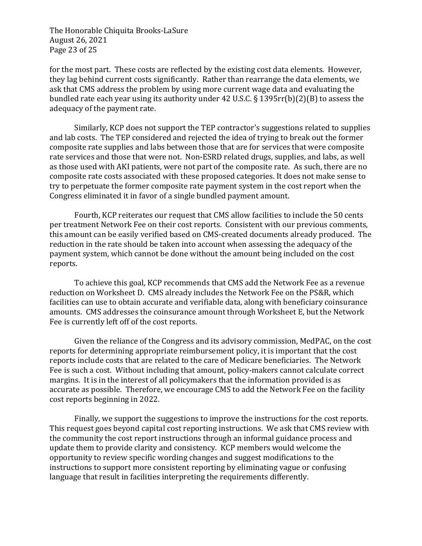The Honorable Chiquita Brooks-LaSure August 26, 2021 Page 23 of 25

for the most part. These costs are reflected by the existing cost data elements. However, they lag behind current costs significantly. Rather than rearrange the data elements, we ask that CMS address the problem by using more current wage data and evaluating the bundled rate each year using its authority under 42 U.S.C.  $\S$  1395rr(b)(2)(B) to assess the adequacy of the payment rate.

Similarly, KCP does not support the TEP contractor's suggestions related to supplies and lab costs. The TEP considered and rejected the idea of trying to break out the former composite rate supplies and labs between those that are for services that were composite rate services and those that were not. Non-ESRD related drugs, supplies, and labs, as well as those used with AKI patients, were not part of the composite rate. As such, there are no composite rate costs associated with these proposed categories. It does not make sense to try to perpetuate the former composite rate payment system in the cost report when the Congress eliminated it in favor of a single bundled payment amount.

Fourth, KCP reiterates our request that CMS allow facilities to include the 50 cents per treatment Network Fee on their cost reports. Consistent with our previous comments, this amount can be easily verified based on CMS-created documents already produced. The reduction in the rate should be taken into account when assessing the adequacy of the payment system, which cannot be done without the amount being included on the cost reports. 

To achieve this goal, KCP recommends that CMS add the Network Fee as a revenue reduction on Worksheet D. CMS already includes the Network Fee on the PS&R, which facilities can use to obtain accurate and verifiable data, along with beneficiary coinsurance amounts. CMS addresses the coinsurance amount through Worksheet E, but the Network Fee is currently left off of the cost reports.

Given the reliance of the Congress and its advisory commission, MedPAC, on the cost reports for determining appropriate reimbursement policy, it is important that the cost reports include costs that are related to the care of Medicare beneficiaries. The Network Fee is such a cost. Without including that amount, policy-makers cannot calculate correct margins. It is in the interest of all policymakers that the information provided is as accurate as possible. Therefore, we encourage CMS to add the Network Fee on the facility cost reports beginning in 2022.

Finally, we support the suggestions to improve the instructions for the cost reports. This request goes beyond capital cost reporting instructions. We ask that CMS review with the community the cost report instructions through an informal guidance process and update them to provide clarity and consistency. KCP members would welcome the opportunity to review specific wording changes and suggest modifications to the instructions to support more consistent reporting by eliminating vague or confusing language that result in facilities interpreting the requirements differently.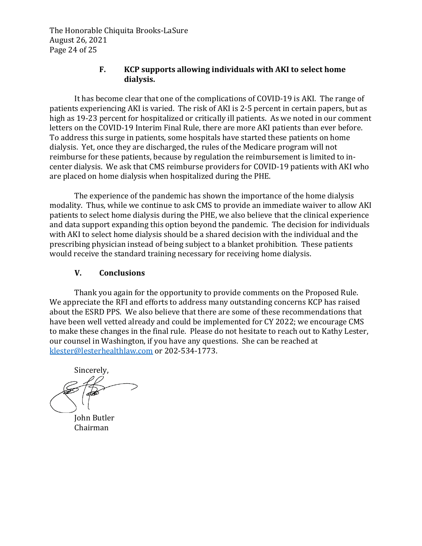The Honorable Chiquita Brooks-LaSure August 26, 2021 Page 24 of 25

#### **F. KCP** supports allowing individuals with AKI to select home **dialysis.**

It has become clear that one of the complications of COVID-19 is AKI. The range of patients experiencing AKI is varied. The risk of AKI is 2-5 percent in certain papers, but as high as 19-23 percent for hospitalized or critically ill patients. As we noted in our comment letters on the COVID-19 Interim Final Rule, there are more AKI patients than ever before. To address this surge in patients, some hospitals have started these patients on home dialysis. Yet, once they are discharged, the rules of the Medicare program will not reimburse for these patients, because by regulation the reimbursement is limited to incenter dialysis. We ask that CMS reimburse providers for COVID-19 patients with AKI who are placed on home dialysis when hospitalized during the PHE.

The experience of the pandemic has shown the importance of the home dialysis modality. Thus, while we continue to ask CMS to provide an immediate waiver to allow AKI patients to select home dialysis during the PHE, we also believe that the clinical experience and data support expanding this option beyond the pandemic. The decision for individuals with AKI to select home dialysis should be a shared decision with the individual and the prescribing physician instead of being subject to a blanket prohibition. These patients would receive the standard training necessary for receiving home dialysis.

#### **V. Conclusions**

Thank you again for the opportunity to provide comments on the Proposed Rule. We appreciate the RFI and efforts to address many outstanding concerns KCP has raised about the ESRD PPS. We also believe that there are some of these recommendations that have been well vetted already and could be implemented for CY 2022; we encourage CMS to make these changes in the final rule. Please do not hesitate to reach out to Kathy Lester, our counsel in Washington, if you have any questions. She can be reached at klester@lesterhealthlaw.com or 202-534-1773.

Sincerely,

**John Butler** Chairman